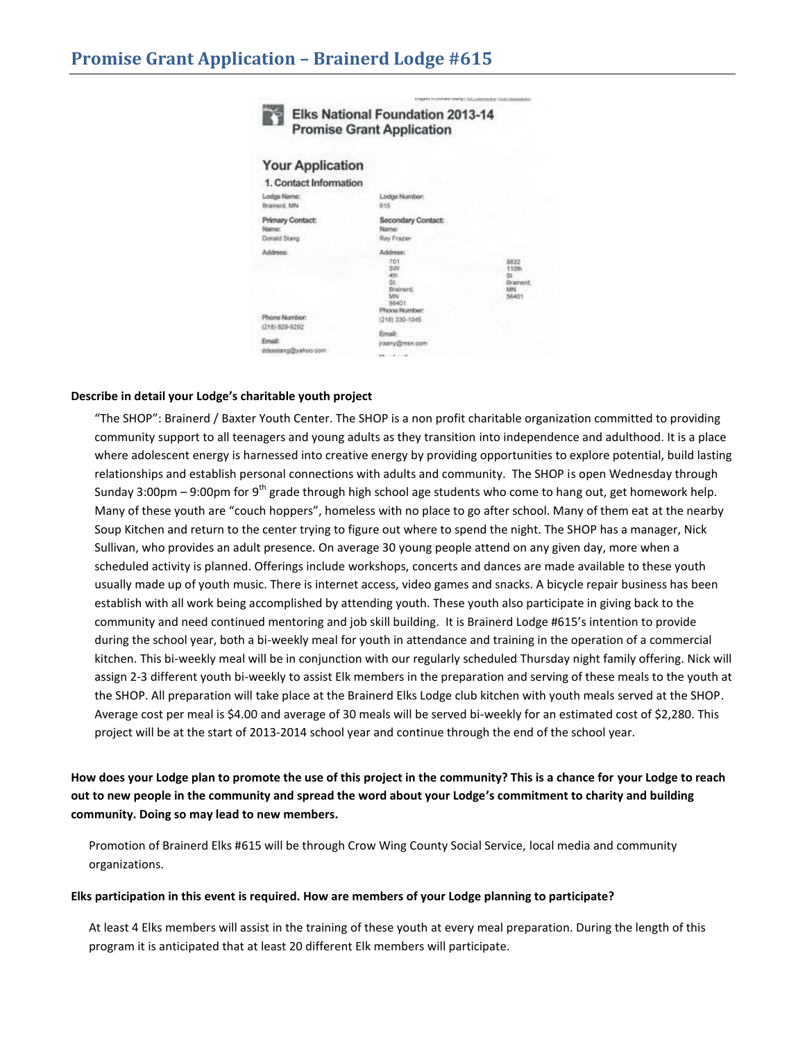|                                                  | <b>Elks National Foundation 2013-14</b><br><b>Promise Grant Application</b>             |                                                 |
|--------------------------------------------------|-----------------------------------------------------------------------------------------|-------------------------------------------------|
| <b>Your Application</b>                          |                                                                                         |                                                 |
| 1. Contact Information                           |                                                                                         |                                                 |
| Lodge Name:<br>Brainerd, MN                      | Lodge Number:<br>815                                                                    |                                                 |
| Primary Contact:<br><b>Name:</b><br>Donald Stang | Secondary Contact:<br>Name:<br>Ray Frazier                                              |                                                 |
| Address:<br>Phone Number:                        | Address:<br>701<br>SW<br>4th<br>St.<br>Brainerd.<br><b>MN</b><br>55401<br>Phone Number: | 8832<br>110th<br>St<br>Brainerd.<br>MN<br>56401 |
| (218) 829-9292                                   | (218) 330-1045                                                                          |                                                 |
| Email:<br>ddesstang@vahoo.com                    | Email:<br>ytaany@man.com                                                                |                                                 |

SAMPLE TO SAFERO GRAND LOS SARESSES E SUS ASSISTANCES.

## **Describe in detail your Lodge's charitable youth project**

"The SHOP": Brainerd / Baxter Youth Center. The SHOP is a non profit charitable organization committed to providing community support to all teenagers and young adults as they transition into independence and adulthood. It is a place where adolescent energy is harnessed into creative energy by providing opportunities to explore potential, build lasting relationships and establish personal connections with adults and community. The SHOP is open Wednesday through Sunday 3:00pm – 9:00pm for 9<sup>th</sup> grade through high school age students who come to hang out, get homework help. Many of these youth are "couch hoppers", homeless with no place to go after school. Many of them eat at the nearby Soup Kitchen and return to the center trying to figure out where to spend the night. The SHOP has a manager, Nick Sullivan, who provides an adult presence. On average 30 young people attend on any given day, more when a scheduled activity is planned. Offerings include workshops, concerts and dances are made available to these youth usually made up of youth music. There is internet access, video games and snacks. A bicycle repair business has been establish with all work being accomplished by attending youth. These youth also participate in giving back to the community and need continued mentoring and job skill building. It is Brainerd Lodge #615's intention to provide during the school year, both a bi-weekly meal for youth in attendance and training in the operation of a commercial kitchen. This bi-weekly meal will be in conjunction with our regularly scheduled Thursday night family offering. Nick will assign 2-3 different youth bi-weekly to assist Elk members in the preparation and serving of these meals to the youth at the SHOP. All preparation will take place at the Brainerd Elks Lodge club kitchen with youth meals served at the SHOP. Average cost per meal is \$4.00 and average of 30 meals will be served bi-weekly for an estimated cost of \$2,280. This project will be at the start of 2013-2014 school year and continue through the end of the school year.

**How does your Lodge plan to promote the use of this project in the community? This is a chance for your Lodge to reach out to new people in the community and spread the word about your Lodge's commitment to charity and building community. Doing so may lead to new members.**

Promotion of Brainerd Elks #615 will be through Crow Wing County Social Service, local media and community organizations.

## **Elks participation in this event is required. How are members of your Lodge planning to participate?**

At least 4 Elks members will assist in the training of these youth at every meal preparation. During the length of this program it is anticipated that at least 20 different Elk members will participate.